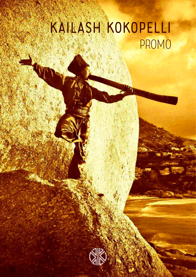# Kailash Kokopelli PROMO

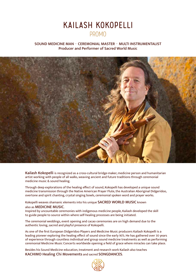## Kailash Kokopelli PROMO

#### SOUND MEDICINE MAN · CEREMONIAL MASTER · MULTI INSTRUMENTALIST Producer and Performer of Sacred World Music



Kailash Kokopelli is recognized as a cross-cultural bridge-maker, medicine person and humanitarian artist working with people of all walks, weaving ancient and future traditions through ceremonial medicine music & sound healing.

Through deep explorations of the healing effect of sound, Kokopelli has developed a unique sound medicine transmission through the Native American Prayer Flute, the Australian Aboriginal Didgeridoo, overtone and spirit chanting, crystal singing bowls, ceremonial spoken word and prayer works.

Kokopelli weaves shamanic elements into his unique SACRED WORLD MUSIC known

#### also as MEDICINE MUSIC.

Inspired by uncountable ceremonies with indigenous medicine people, Kailash developed the skill to guide people to source within where self-healing processes are being initiated.

The ceremonial weddings, event opening and cacao ceremonies are on high demand due to the authentic loving, sacred and playful presence of Kokopelli.

As one of the first European Didgeridoo Players and Medicine Music producers Kailash Kokopelli is a leading pioneer exploring the healing effect of sound since the early 90's. He has gathered over 30 years of experience through countless individual and group sound medicine treatments as well as performing ceremonial Medicine Music Concerts worldwide opening a field of grace where miracles can take place.

Besides his Sound Medicine education, treatment and research work Kailash also teaches KACHIMO Healing Chi Movements and sacred SONGDANCES.

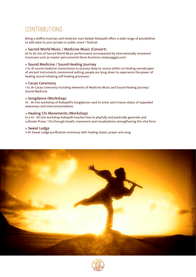## CONTRIBUTIONS

Being a skillful musician and medicine man Kailash Kokopelli offers a wide range of possibilities to add value to your private or public event / festival:

#### » Sacred World Music / Medicine Music (Concert)

60 to 90 min of Sacred World Music performance accompanied by internationally renowned musicians such as master percussionist Denis Kucherov (www.jaggai.com)

#### » Sound Medicine / Sound Healing Journey

2 to 3h sound medicine transmission to journey deep to source within on healing soundscapes of ancient instruments (ceremonial setting, people are lying down to experience the power of healing sound initiating self-healing processes)

#### » Cacao Ceremony

1 to 3h Cacao Ceremony including elements of Medicine Music and Sound Healing Journey/ Sound Medicine

#### » Songdance (Workshop)

45 - 90 min workshop of Kokopelli's Songdances used to enter semi trance states of expanded awareness and interconnectedness

#### » Healing Chi Movements (Workshop)

In a 45 - 90 min workshop Kokopelli teaches how to playfully and poetically generate and cultivate Prana / Chi through breath, movement and visualizations strengthening the vital force

#### » Sweat Lodge

3-4h Sweat Lodge purification ceremony with healing steam, prayer and song